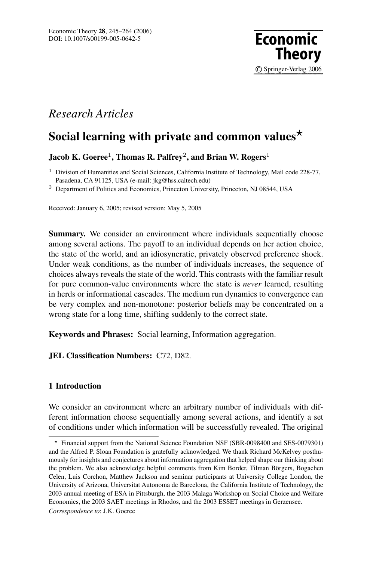

# *Research Articles*

# **Social learning with private and common values**

**Jacob K. Goeree**1**, Thomas R. Palfrey**2**, and Brian W. Rogers**<sup>1</sup>

 $1$  Division of Humanities and Social Sciences, California Institute of Technology, Mail code 228-77, Pasadena, CA 91125, USA (e-mail: jkg@hss.caltech.edu)

<sup>2</sup> Department of Politics and Economics, Princeton University, Princeton, NJ 08544, USA

Received: January 6, 2005; revised version: May 5, 2005

**Summary.** We consider an environment where individuals sequentially choose among several actions. The payoff to an individual depends on her action choice, the state of the world, and an idiosyncratic, privately observed preference shock. Under weak conditions, as the number of individuals increases, the sequence of choices always reveals the state of the world. This contrasts with the familiar result for pure common-value environments where the state is *never* learned, resulting in herds or informational cascades. The medium run dynamics to convergence can be very complex and non-monotone: posterior beliefs may be concentrated on a wrong state for a long time, shifting suddenly to the correct state.

**Keywords and Phrases:** Social learning, Information aggregation.

# **JEL Classification Numbers:** C72, D82.

# **1 Introduction**

We consider an environment where an arbitrary number of individuals with different information choose sequentially among several actions, and identify a set of conditions under which information will be successfully revealed. The original

Financial support from the National Science Foundation NSF (SBR-0098400 and SES-0079301) and the Alfred P. Sloan Foundation is gratefully acknowledged. We thank Richard McKelvey posthumously for insights and conjectures about information aggregation that helped shape our thinking about the problem. We also acknowledge helpful comments from Kim Border, Tilman Börgers, Bogachen Celen, Luis Corchon, Matthew Jackson and seminar participants at University College London, the University of Arizona, Universitat Autonoma de Barcelona, the California Institute of Technology, the 2003 annual meeting of ESA in Pittsburgh, the 2003 Malaga Workshop on Social Choice and Welfare Economics, the 2003 SAET meetings in Rhodos, and the 2003 ESSET meetings in Gerzensee. *Correspondence to*: J.K. Goeree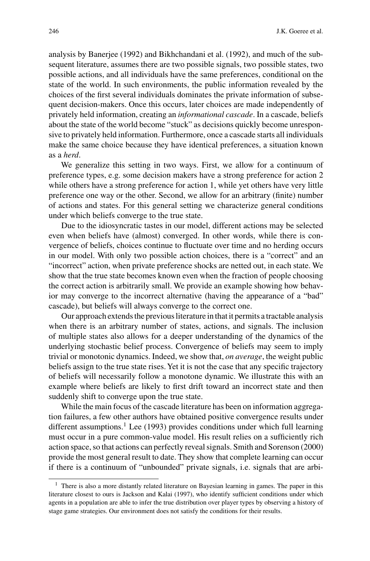analysis by Banerjee (1992) and Bikhchandani et al. (1992), and much of the subsequent literature, assumes there are two possible signals, two possible states, two possible actions, and all individuals have the same preferences, conditional on the state of the world. In such environments, the public information revealed by the choices of the first several individuals dominates the private information of subsequent decision-makers. Once this occurs, later choices are made independently of privately held information, creating an *informational cascade*. In a cascade, beliefs about the state of the world become "stuck" as decisions quickly become unresponsive to privately held information. Furthermore, once a cascade starts all individuals make the same choice because they have identical preferences, a situation known as a *herd*.

We generalize this setting in two ways. First, we allow for a continuum of preference types, e.g. some decision makers have a strong preference for action 2 while others have a strong preference for action 1, while yet others have very little preference one way or the other. Second, we allow for an arbitrary (finite) number of actions and states. For this general setting we characterize general conditions under which beliefs converge to the true state.

Due to the idiosyncratic tastes in our model, different actions may be selected even when beliefs have (almost) converged. In other words, while there is convergence of beliefs, choices continue to fluctuate over time and no herding occurs in our model. With only two possible action choices, there is a "correct" and an "incorrect" action, when private preference shocks are netted out, in each state. We show that the true state becomes known even when the fraction of people choosing the correct action is arbitrarily small. We provide an example showing how behavior may converge to the incorrect alternative (having the appearance of a "bad" cascade), but beliefs will always converge to the correct one.

Our approach extends the previous literature in that it permits a tractable analysis when there is an arbitrary number of states, actions, and signals. The inclusion of multiple states also allows for a deeper understanding of the dynamics of the underlying stochastic belief process. Convergence of beliefs may seem to imply trivial or monotonic dynamics. Indeed, we show that, *on average*, the weight public beliefs assign to the true state rises. Yet it is not the case that any specific trajectory of beliefs will necessarily follow a monotone dynamic. We illustrate this with an example where beliefs are likely to first drift toward an incorrect state and then suddenly shift to converge upon the true state.

While the main focus of the cascade literature has been on information aggregation failures, a few other authors have obtained positive convergence results under different assumptions.<sup>1</sup> Lee (1993) provides conditions under which full learning must occur in a pure common-value model. His result relies on a sufficiently rich action space, so that actions can perfectly reveal signals. Smith and Sorenson (2000) provide the most general result to date. They show that complete learning can occur if there is a continuum of "unbounded" private signals, i.e. signals that are arbi-

<sup>&</sup>lt;sup>1</sup> There is also a more distantly related literature on Bayesian learning in games. The paper in this literature closest to ours is Jackson and Kalai (1997), who identify sufficient conditions under which agents in a population are able to infer the true distribution over player types by observing a history of stage game strategies. Our environment does not satisfy the conditions for their results.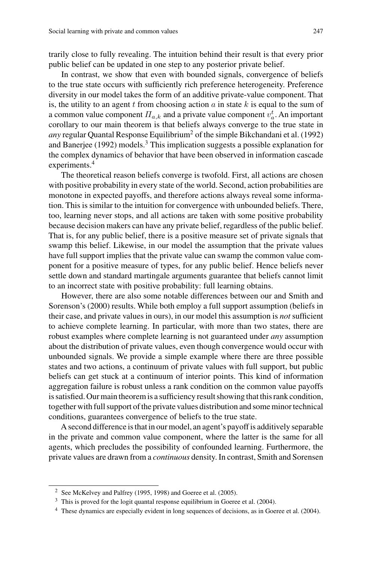trarily close to fully revealing. The intuition behind their result is that every prior public belief can be updated in one step to any posterior private belief.

In contrast, we show that even with bounded signals, convergence of beliefs to the true state occurs with sufficiently rich preference heterogeneity. Preference diversity in our model takes the form of an additive private-value component. That is, the utility to an agent  $t$  from choosing action  $a$  in state  $k$  is equal to the sum of a common value component  $\Pi_{a,k}$  and a private value component  $v_a^t$ . An important corollary to our main theorem is that beliefs always converge to the true state in *any* regular Quantal Response Equilibrium<sup>2</sup> of the simple Bikchandani et al. (1992) and Banerjee (1992) models. $3$  This implication suggests a possible explanation for the complex dynamics of behavior that have been observed in information cascade experiments.<sup>4</sup>

The theoretical reason beliefs converge is twofold. First, all actions are chosen with positive probability in every state of the world. Second, action probabilities are monotone in expected payoffs, and therefore actions always reveal some information. This is similar to the intuition for convergence with unbounded beliefs. There, too, learning never stops, and all actions are taken with some positive probability because decision makers can have any private belief, regardless of the public belief. That is, for any public belief, there is a positive measure set of private signals that swamp this belief. Likewise, in our model the assumption that the private values have full support implies that the private value can swamp the common value component for a positive measure of types, for any public belief. Hence beliefs never settle down and standard martingale arguments guarantee that beliefs cannot limit to an incorrect state with positive probability: full learning obtains.

However, there are also some notable differences between our and Smith and Sorenson's (2000) results. While both employ a full support assumption (beliefs in their case, and private values in ours), in our model this assumption is *not* sufficient to achieve complete learning. In particular, with more than two states, there are robust examples where complete learning is not guaranteed under *any* assumption about the distribution of private values, even though convergence would occur with unbounded signals. We provide a simple example where there are three possible states and two actions, a continuum of private values with full support, but public beliefs can get stuck at a continuum of interior points. This kind of information aggregation failure is robust unless a rank condition on the common value payoffs is satisfied. Our main theorem is a sufficiency result showing that this rank condition, together with full support of the private values distribution and some minor technical conditions, guarantees convergence of beliefs to the true state.

A second difference is that in our model, an agent's payoff is additively separable in the private and common value component, where the latter is the same for all agents, which precludes the possibility of confounded learning. Furthermore, the private values are drawn from a *continuous* density. In contrast, Smith and Sorensen

<sup>2</sup> See McKelvey and Palfrey (1995, 1998) and Goeree et al. (2005).

<sup>&</sup>lt;sup>3</sup> This is proved for the logit quantal response equilibrium in Goeree et al. (2004).

<sup>&</sup>lt;sup>4</sup> These dynamics are especially evident in long sequences of decisions, as in Goeree et al. (2004).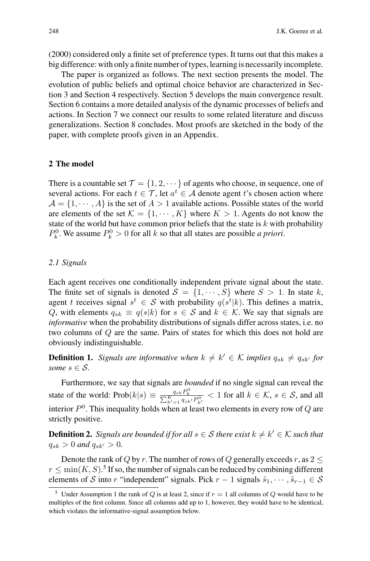(2000) considered only a finite set of preference types. It turns out that this makes a big difference: with only a finite number of types, learning is necessarily incomplete.

The paper is organized as follows. The next section presents the model. The evolution of public beliefs and optimal choice behavior are characterized in Section 3 and Section 4 respectively. Section 5 develops the main convergence result. Section 6 contains a more detailed analysis of the dynamic processes of beliefs and actions. In Section 7 we connect our results to some related literature and discuss generalizations. Section 8 concludes. Most proofs are sketched in the body of the paper, with complete proofs given in an Appendix.

# **2 The model**

There is a countable set  $\mathcal{T} = \{1, 2, \dots\}$  of agents who choose, in sequence, one of several actions. For each  $t \in \mathcal{T}$ , let  $a^t \in \mathcal{A}$  denote agent t's chosen action where  $A = \{1, \dots, A\}$  is the set of  $A > 1$  available actions. Possible states of the world are elements of the set  $\mathcal{K} = \{1, \dots, K\}$  where  $K > 1$ . Agents do not know the state of the world but have common prior beliefs that the state is  $k$  with probability  $P_k^0$ . We assume  $P_k^0 > 0$  for all k so that all states are possible *a priori*.

# *2.1 Signals*

Each agent receives one conditionally independent private signal about the state. The finite set of signals is denoted  $S = \{1, \dots, S\}$  where  $S > 1$ . In state k, agent t receives signal  $s^t \in S$  with probability  $q(s^t|k)$ . This defines a matrix, Q, with elements  $q_{sk} \equiv q(s|k)$  for  $s \in S$  and  $k \in K$ . We say that signals are *informative* when the probability distributions of signals differ across states, i.e. no two columns of Q are the same. Pairs of states for which this does not hold are obviously indistinguishable.

**Definition 1.** *Signals are informative when*  $k \neq k' \in \mathcal{K}$  *implies*  $q_{sk} \neq q_{sk'}$  *for some*  $s \in \mathcal{S}$ .

Furthermore, we say that signals are *bounded* if no single signal can reveal the state of the world: Prob $(k|s) \equiv \frac{q_{sk}P_k^0}{\sum_{k'=1}^K q_{sk'}P_{k'}^0} < 1$  for all  $k \in \mathcal{K}$ ,  $s \in \mathcal{S}$ , and all interior  $P^0$ . This inequality holds when at least two elements in every row of  $Q$  are strictly positive.

**Definition 2.** *Signals are bounded if for all*  $s \in S$  *there exist*  $k \neq k' \in K$  *such that*  $q_{sk} > 0$  *and*  $q_{sk'} > 0$ .

Denote the rank of Q by r. The number of rows of Q generally exceeds r, as  $2 <$  $r \leq \min(K, S)$ .<sup>5</sup> If so, the number of signals can be reduced by combining different elements of S into r "independent" signals. Pick  $r - 1$  signals  $\tilde{s}_1, \dots, \tilde{s}_{r-1} \in S$ 

<sup>&</sup>lt;sup>5</sup> Under Assumption 1 the rank of Q is at least 2, since if  $r = 1$  all columns of Q would have to be multiples of the first column. Since all columns add up to 1, however, they would have to be identical, which violates the informative-signal assumption below.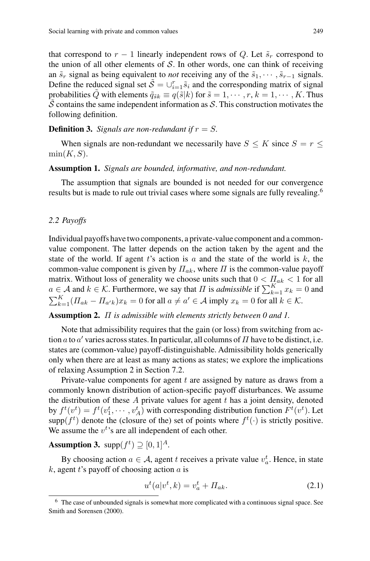that correspond to  $r - 1$  linearly independent rows of Q. Let  $\tilde{s}_r$  correspond to the union of all other elements of  $S$ . In other words, one can think of receiving an  $\tilde{s}_r$  signal as being equivalent to *not* receiving any of the  $\tilde{s}_1, \dots, \tilde{s}_{r-1}$  signals. Define the reduced signal set  $\tilde{S} = \bigcup_{i=1}^{r} \tilde{s}_i$  and the corresponding matrix of signal probabilities Q with elements  $\tilde{q}_{\tilde{s}k} \equiv q(\tilde{s}|k)$  for  $\tilde{s} = 1, \dots, r, k = 1, \dots, K$ . Thus S contains the same independent information as  $S$ . This construction motivates the following definition.

**Definition 3.** *Signals are non-redundant if*  $r = S$ *.* 

When signals are non-redundant we necessarily have  $S \leq K$  since  $S = r \leq$  $min(K, S)$ .

### **Assumption 1.** *Signals are bounded, informative, and non-redundant.*

The assumption that signals are bounded is not needed for our convergence results but is made to rule out trivial cases where some signals are fully revealing.<sup>6</sup>

#### *2.2 Payoffs*

Individual payoffs have two components, a private-value component and a commonvalue component. The latter depends on the action taken by the agent and the state of the world. If agent t's action is a and the state of the world is  $k$ , the common-value component is given by  $\Pi_{ak}$ , where  $\Pi$  is the common-value payoff matrix. Without loss of generality we choose units such that  $0 < \prod_{ak} < 1$  for all  $a \in \mathcal{A}$  and  $k \in \mathcal{K}$ . Furthermore, we say that  $\Pi$  is *admissible* if  $\sum_{k=1}^{K} x_k = 0$  and  $\sum_{k=1}^{K} (H_{ak} - H_{a'k})x_k = 0$  for all  $a \neq a' \in \mathcal{A}$  imply  $x_k = 0$  for all  $k \in \mathcal{K}$ .

#### **Assumption 2.** Π *is admissible with elements strictly between 0 and 1.*

Note that admissibility requires that the gain (or loss) from switching from action a to a' varies across states. In particular, all columns of  $\Pi$  have to be distinct, i.e. states are (common-value) payoff-distinguishable. Admissibility holds generically only when there are at least as many actions as states; we explore the implications of relaxing Assumption 2 in Section 7.2.

Private-value components for agent  $t$  are assigned by nature as draws from a commonly known distribution of action-specific payoff disturbances. We assume the distribution of these  $A$  private values for agent  $t$  has a joint density, denoted by  $f^t(v^t) = f^t(v_1^t, \dots, v_A^t)$  with corresponding distribution function  $F^t(v^t)$ . Let  $\text{supp}(f^t)$  denote the (closure of the) set of points where  $f^t(\cdot)$  is strictly positive. We assume the  $v<sup>t</sup>$ 's are all independent of each other.

# **Assumption 3.** supp $(f^t) \supseteq [0, 1]^A$ .

By choosing action  $a \in \mathcal{A}$ , agent t receives a private value  $v_a^t$ . Hence, in state  $k$ , agent t's payoff of choosing action  $a$  is

$$
u^t(a|v^t, k) = v_a^t + \Pi_{ak}.
$$
\n
$$
(2.1)
$$

<sup>6</sup> The case of unbounded signals is somewhat more complicated with a continuous signal space. See Smith and Sorensen (2000).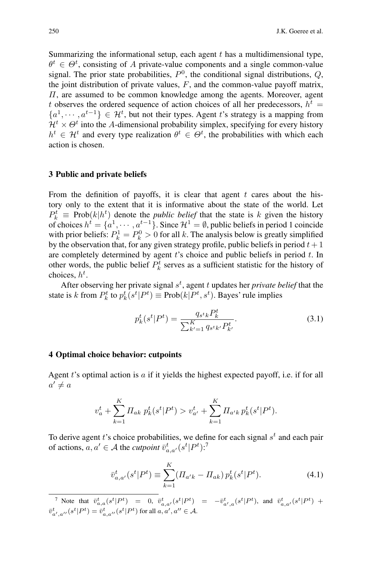Summarizing the informational setup, each agent  $t$  has a multidimensional type,  $\theta^t \in \Theta^t$ , consisting of A private-value components and a single common-value signal. The prior state probabilities,  $P^0$ , the conditional signal distributions,  $Q$ , the joint distribution of private values,  $F$ , and the common-value payoff matrix, Π, are assumed to be common knowledge among the agents. Moreover, agent t observes the ordered sequence of action choices of all her predecessors,  $h<sup>t</sup>$  =  ${a<sup>1</sup>, · · · , a<sup>t-1</sup>} \in \mathcal{H}^t$ , but not their types. Agent t's strategy is a mapping from  $\mathcal{H}^t \times \Theta^t$  into the A-dimensional probability simplex, specifying for every history  $h^t \in \mathcal{H}^t$  and every type realization  $\theta^t \in \Theta^t$ , the probabilities with which each action is chosen.

# **3 Public and private beliefs**

From the definition of payoffs, it is clear that agent  $t$  cares about the history only to the extent that it is informative about the state of the world. Let  $P_k^t \equiv \text{Prob}(k|h^t)$  denote the *public belief* that the state is k given the history of choices  $h^t = \{a^1, \dots, a^{t-1}\}\)$ . Since  $\mathcal{H}^1 = \emptyset$ , public beliefs in period 1 coincide with prior beliefs:  $P_k^1 = P_k^0 > 0$  for all k. The analysis below is greatly simplified by the observation that, for any given strategy profile, public beliefs in period  $t + 1$ are completely determined by agent  $t$ 's choice and public beliefs in period  $t$ . In other words, the public belief  $P_k^t$  serves as a sufficient statistic for the history of choices,  $h^t$ .

After observing her private signal  $s<sup>t</sup>$ , agent t updates her *private belief* that the state is k from  $P_k^t$  to  $p_k^t(s^t | P^t) \equiv \text{Prob}(k | P^t, s^t)$ . Bayes' rule implies

$$
p_k^t(s^t | P^t) = \frac{q_{s^t k} P_k^t}{\sum_{k'=1}^K q_{s^t k'} P_{k'}^t}.
$$
\n(3.1)

# **4 Optimal choice behavior: cutpoints**

Agent  $t$ 's optimal action is  $a$  if it yields the highest expected payoff, i.e. if for all  $a' \neq a$ 

$$
v_a^t + \sum_{k=1}^K \prod_{ak} p_k^t(s^t | P^t) > v_{a'}^t + \sum_{k=1}^K \prod_{a'k} p_k^t(s^t | P^t).
$$

To derive agent  $t$ 's choice probabilities, we define for each signal  $s<sup>t</sup>$  and each pair of actions,  $a, a' \in \mathcal{A}$  the *cutpoint*  $\overline{v}_{a,a'}^t(s^t | P^t)$ :<sup>7</sup>

$$
\bar{v}_{a,a'}^t(s^t|P^t) \equiv \sum_{k=1}^K (\Pi_{a'k} - \Pi_{ak}) p_k^t(s^t|P^t).
$$
 (4.1)

7 Note that  $\bar{v}_{a,a}^t(s^t|P^t) = 0$ ,  $\bar{v}_{a,a'}^t(s^t|P^t) = -\bar{v}_{a',a}^t(s^t|P^t)$ , and  $\bar{v}_{a,a'}^t(s^t|P^t)$  +  $\bar{v}_{a',a''}^{t}(s^t|P^t)=\bar{v}_{a,a''}^{t}(s^t|P^t)$  for all  $a,a',a''\in\mathcal{A}$ .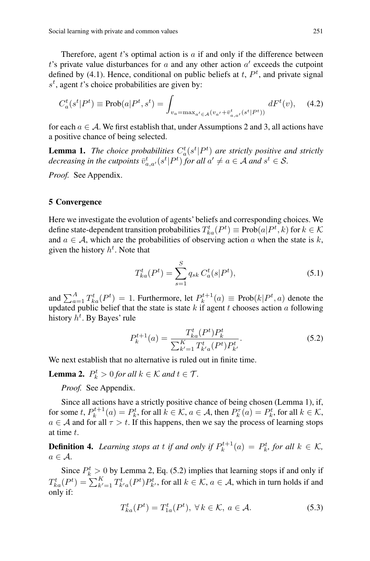Therefore, agent  $t$ 's optimal action is  $a$  if and only if the difference between t's private value disturbances for  $a$  and any other action  $a'$  exceeds the cutpoint defined by (4.1). Hence, conditional on public beliefs at  $t$ ,  $P<sup>t</sup>$ , and private signal  $s^t$ , agent t's choice probabilities are given by:

$$
C_a^t(s^t|P^t) \equiv \text{Prob}(a|P^t, s^t) = \int_{v_a = \max_{a' \in \mathcal{A}} (v_{a'} + \bar{v}_{a,a'}^t(s^t|P^t))} dF^t(v), \quad (4.2)
$$

for each  $a \in \mathcal{A}$ . We first establish that, under Assumptions 2 and 3, all actions have a positive chance of being selected.

**Lemma 1.** The choice probabilities  $C_a^t(s^t|P^t)$  are strictly positive and strictly *decreasing in the cutpoints*  $\bar{v}_{a,a'}^t(s^t|P^t)$  *for all*  $a' \neq a \in A$  *and*  $s^t \in S$ *.* 

*Proof.* See Appendix.

#### **5 Convergence**

Here we investigate the evolution of agents' beliefs and corresponding choices. We define state-dependent transition probabilities  $T_{ka}^t(P^t) \equiv \text{Prob}(a|P^t,k)$  for  $k \in \mathcal{K}$ and  $a \in \mathcal{A}$ , which are the probabilities of observing action a when the state is k, given the history  $h^t$ . Note that

$$
T_{ka}^t(P^t) = \sum_{s=1}^S q_{sk} C_a^t(s|P^t),
$$
\n(5.1)

and  $\sum_{a=1}^{A} T_{ka}^{t}(P^{t}) = 1$ . Furthermore, let  $P_{k}^{t+1}(a) \equiv \text{Prob}(k|P^{t}, a)$  denote the updated public belief that the state is state k if agent t chooses action a following history  $h^t$ . By Bayes' rule

$$
P_k^{t+1}(a) = \frac{T_{ka}^t(P^t)P_k^t}{\sum_{k'=1}^K T_{k'a}^t(P^t)P_{k'}^t}.
$$
\n(5.2)

We next establish that no alternative is ruled out in finite time.

**Lemma 2.**  $P_k^t > 0$  *for all*  $k \in \mathcal{K}$  *and*  $t \in \mathcal{T}$ *.* 

*Proof.* See Appendix.

Since all actions have a strictly positive chance of being chosen (Lemma 1), if, for some  $t$ ,  $P_k^{t+1}(a) = P_k^t$ , for all  $k \in \mathcal{K}$ ,  $a \in \mathcal{A}$ , then  $P_k^{\tau}(a) = P_k^t$ , for all  $k \in \mathcal{K}$ ,  $a \in \mathcal{A}$  and for all  $\tau > t$ . If this happens, then we say the process of learning stops at time t.

**Definition 4.** *Learning stops at t if and only if*  $P_k^{t+1}(a) = P_k^t$ *, for all*  $k \in K$ *,*  $a \in \mathcal{A}$ .

Since  $P_k^t > 0$  by Lemma 2, Eq. (5.2) implies that learning stops if and only if  $T_{ka}^t(P^t) = \sum_{k'=1}^K T_{k'a}^t(P^t) P_{k'}^t$ , for all  $k \in \mathcal{K}$ ,  $a \in \mathcal{A}$ , which in turn holds if and only if:

$$
T_{ka}^t(P^t) = T_{1a}^t(P^t), \ \forall \, k \in \mathcal{K}, \ a \in \mathcal{A}.\tag{5.3}
$$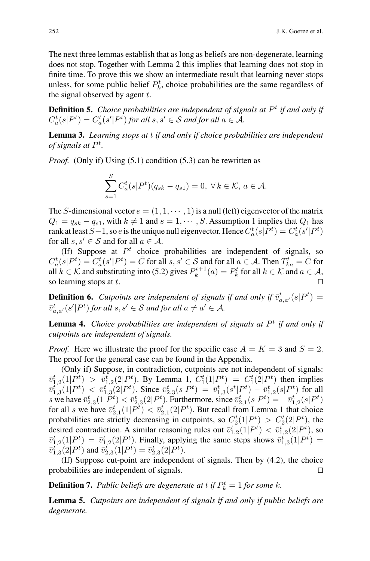The next three lemmas establish that as long as beliefs are non-degenerate, learning does not stop. Together with Lemma 2 this implies that learning does not stop in finite time. To prove this we show an intermediate result that learning never stops unless, for some public belief  $P_k^t$ , choice probabilities are the same regardless of the signal observed by agent  $t$ .

**Definition 5.** *Choice probabilities are independent of signals at*  $P<sup>t</sup>$  *if and only if*  $C_a^t(s|P^t) = C_a^t(s'|P^t)$  for all  $s, s' \in S$  and for all  $a \in A$ .

**Lemma 3.** *Learning stops at* t *if and only if choice probabilities are independent of signals at* P<sup>t</sup> *.*

*Proof.* (Only if) Using (5.1) condition (5.3) can be rewritten as

$$
\sum_{s=1}^{S} C_a^t(s|P^t)(q_{sk} - q_{s1}) = 0, \ \forall \, k \in \mathcal{K}, \, a \in \mathcal{A}.
$$

The S-dimensional vector  $e = (1, 1, \dots, 1)$  is a null (left) eigenvector of the matrix  $Q_1 = q_{sk} - q_{s1}$ , with  $k \neq 1$  and  $s = 1, \dots, S$ . Assumption 1 implies that  $Q_1$  has rank at least  $S-1$ , so  $e$  is the unique null eigenvector. Hence  $C_a^t(s|P^t) = C_a^t(s'|P^t)$ for all  $s, s' \in S$  and for all  $a \in A$ .

(If) Suppose at  $P<sup>t</sup>$  choice probabilities are independent of signals, so  $C_a^t(s|P^t) = C_a^t(s'|P^t) = \bar{C}$  for all  $s, s' \in S$  and for all  $a \in A$ . Then  $T_{ka}^t = \bar{C}$  for all  $k \in \mathcal{K}$  and substituting into (5.2) gives  $P_k^{t+1}(a) = P_k^t$  for all  $k \in \mathcal{K}$  and  $a \in \mathcal{A}$ , so learning stops at  $t$ .

**Definition 6.** Cutpoints are independent of signals if and only if  $\bar{v}_{a,a'}^t(s|P^t) =$  $\overline{v}_{a,a'}^t(s'|P^t)$  *for all*  $s, s' \in S$  *and for all*  $a \neq a' \in A$ *.* 

**Lemma 4.** *Choice probabilities are independent of signals at*  $P<sup>t</sup>$  *if and only if cutpoints are independent of signals.*

*Proof.* Here we illustrate the proof for the specific case  $A = K = 3$  and  $S = 2$ . The proof for the general case can be found in the Appendix.

(Only if) Suppose, in contradiction, cutpoints are not independent of signals:  $\bar{v}_{1,2}^t(1|P^t) > \bar{v}_{1,2}^t(2|P^t)$ . By Lemma 1,  $C_1^t(1|P^t) = C_1^t(2|P^t)$  then implies  $\overline{v}_{1,3}^{t} (1 | P^t) < \overline{v}_{1,3}^{t} (2 | P^t)$ . Since  $\overline{v}_{2,3}^{t} (s | P^t) = \overline{v}_{1,3}^{t} (s^t | P^t) - \overline{v}_{1,2}^{t} (s | P^t)$  for all s we have  $\bar{v}_{2,3}^t(1|\bar{P}^t) < \bar{v}_{2,3}^t(2|P^t)$ . Furthermore, since  $\bar{v}_{2,1}^t(s|P^t) = -\bar{v}_{1,2}^t(s|P^t)$ for all s we have  $\bar{v}_{2,1}^t(1|\bar{P}^t) < \bar{v}_{2,1}^t(2|\bar{P}^t)$ . But recall from Lemma 1 that choice probabilities are strictly decreasing in cutpoints, so  $C_2^t(1|P^t) > C_2^t(2|P^t)$ , the desired contradiction. A similar reasoning rules out  $\bar{v}_{1,2}^t(1|P^t) < \bar{v}_{1,2}^t(2|P^t)$ , so  $\overline{v}_{1,2}^t(1|P^t) = \overline{v}_{1,2}^t(2|P^t)$ . Finally, applying the same steps shows  $\overline{v}_{1,3}^t(1|P^t) =$  $\overline{v}_{1,3}^{t^*}(2|P^t)$  and  $\overline{v}_{2,3}^{t^*}(1|P^t) = \overline{v}_{2,3}^{t}(2|P^t)$ .

(If) Suppose cut-point are independent of signals. Then by (4.2), the choice probabilities are independent of signals.

**Definition 7.** Public beliefs are degenerate at  $t$  if  $P_k^t = 1$  for some  $k$ .

**Lemma 5.** *Cutpoints are independent of signals if and only if public beliefs are degenerate.*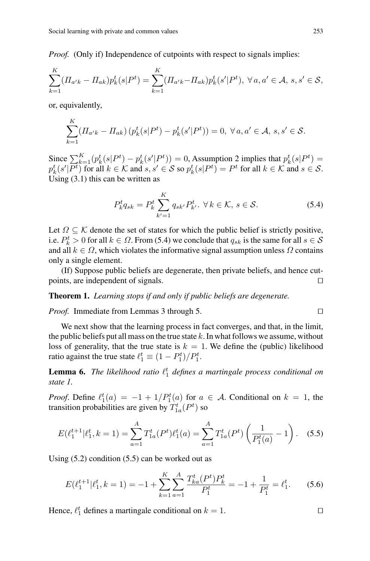*Proof.* (Only if) Independence of cutpoints with respect to signals implies:

$$
\sum_{k=1}^{K} (\Pi_{a'k} - \Pi_{ak}) p_k^t(s|P^t) = \sum_{k=1}^{K} (\Pi_{a'k} - \Pi_{ak}) p_k^t(s'|P^t), \ \forall a, a' \in \mathcal{A}, \ s, s' \in \mathcal{S},
$$

or, equivalently,

$$
\sum_{k=1}^{K} (H_{a'k} - H_{ak}) \left( p_k^t(s|P^t) - p_k^t(s'|P^t) \right) = 0, \ \forall a, a' \in \mathcal{A}, \ s, s' \in \mathcal{S}.
$$

Since  $\sum_{k=1}^{K} (p_k^t(s|P^t) - p_k^t(s'|P^t)) = 0$ , Assumption 2 implies that  $p_k^t(s|P^t) =$  $p_k^t(s'|\overline{P^t})$  for all  $k \in \mathcal{K}$  and  $s, s' \in \mathcal{S}$  so  $p_k^t(s|P^t) = P^t$  for all  $k \in \mathcal{K}$  and  $s \in \mathcal{S}$ . Using (3.1) this can be written as

$$
P_k^t q_{sk} = P_k^t \sum_{k'=1}^K q_{sk'} P_{k'}^t. \ \forall \, k \in \mathcal{K}, \, s \in \mathcal{S}.
$$

Let  $\Omega \subseteq \mathcal{K}$  denote the set of states for which the public belief is strictly positive, i.e.  $P_k^t > 0$  for all  $k \in \Omega$ . From (5.4) we conclude that  $q_{sk}$  is the same for all  $s \in \mathcal{S}$ and all  $k \in \Omega$ , which violates the informative signal assumption unless  $\Omega$  contains only a single element.

(If) Suppose public beliefs are degenerate, then private beliefs, and hence cutpoints, are independent of signals.

**Theorem 1.** *Learning stops if and only if public beliefs are degenerate.*

*Proof.* Immediate from Lemmas 3 through 5. 

We next show that the learning process in fact converges, and that, in the limit, the public beliefs put all mass on the true state  $k$ . In what follows we assume, without loss of generality, that the true state is  $k = 1$ . We define the (public) likelihood ratio against the true state  $\ell_1^t \equiv (1 - P_1^t)/P_1^t$ .

**Lemma 6.** The likelihood ratio  $\ell_1^t$  defines a martingale process conditional on *state 1.*

*Proof.* Define  $\ell_1^t(a) = -1 + 1/P_1^t(a)$  for  $a \in \mathcal{A}$ . Conditional on  $k = 1$ , the transition probabilities are given by  $T_{1a}^t(P^t)$  so

$$
E(\ell_1^{t+1}|\ell_1^t, k=1) = \sum_{a=1}^A T_{1a}^t(P^t)\ell_1^t(a) = \sum_{a=1}^A T_{1a}^t(P^t) \left(\frac{1}{P_1^t(a)} - 1\right). \tag{5.5}
$$

Using (5.2) condition (5.5) can be worked out as

$$
E(\ell_1^{t+1}|\ell_1^t, k=1) = -1 + \sum_{k=1}^K \sum_{a=1}^A \frac{T_{ka}^t(P^t)P_k^t}{P_1^t} = -1 + \frac{1}{P_1^t} = \ell_1^t.
$$
 (5.6)

Hence,  $\ell_1^t$  defines a martingale conditional on  $k = 1$ .

 $\Box$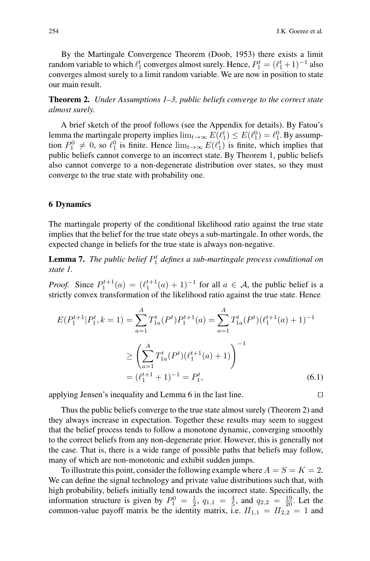By the Martingale Convergence Theorem (Doob, 1953) there exists a limit random variable to which  $\ell_1^t$  converges almost surely. Hence,  $P_1^t = (\ell_1^t + 1)^{-1}$  also converges almost surely to a limit random variable. We are now in position to state our main result.

**Theorem 2.** *Under Assumptions 1–3, public beliefs converge to the correct state almost surely.*

A brief sketch of the proof follows (see the Appendix for details). By Fatou's lemma the martingale property implies  $\lim_{t\to\infty} E(\ell_1^t) \leq E(\ell_1^0) = \ell_1^0$ . By assumption  $P_1^0 \neq 0$ , so  $\ell_1^0$  is finite. Hence  $\lim_{t\to\infty} E(\ell_1^t)$  is finite, which implies that public beliefs cannot converge to an incorrect state. By Theorem 1, public beliefs also cannot converge to a non-degenerate distribution over states, so they must converge to the true state with probability one.

# **6 Dynamics**

The martingale property of the conditional likelihood ratio against the true state implies that the belief for the true state obeys a sub-martingale. In other words, the expected change in beliefs for the true state is always non-negative.

**Lemma 7.** The public belief  $P_1^t$  defines a sub-martingale process conditional on *state 1.*

*Proof.* Since  $P_1^{t+1}(a) = (\ell_1^{t+1}(a) + 1)^{-1}$  for all  $a \in \mathcal{A}$ , the public belief is a strictly convex transformation of the likelihood ratio against the true state. Hence

$$
E(P_1^{t+1}|P_1^t, k=1) = \sum_{a=1}^{A} T_{1a}^t(P^t) P_1^{t+1}(a) = \sum_{a=1}^{A} T_{1a}^t(P^t) (\ell_1^{t+1}(a) + 1)^{-1}
$$

$$
\geq \left(\sum_{a=1}^{A} T_{1a}^t(P^t) (\ell_1^{t+1}(a) + 1)\right)^{-1}
$$

$$
= (\ell_1^{t+1} + 1)^{-1} = P_1^t,
$$
(6.1)

applying Jensen's inequality and Lemma 6 in the last line. 

Thus the public beliefs converge to the true state almost surely (Theorem 2) and they always increase in expectation. Together these results may seem to suggest that the belief process tends to follow a monotone dynamic, converging smoothly to the correct beliefs from any non-degenerate prior. However, this is generally not the case. That is, there is a wide range of possible paths that beliefs may follow, many of which are non-monotonic and exhibit sudden jumps.

To illustrate this point, consider the following example where  $A = S = K = 2$ . We can define the signal technology and private value distributions such that, with high probability, beliefs initially tend towards the incorrect state. Specifically, the information structure is given by  $P_1^0 = \frac{1}{2}$ ,  $q_{1,1} = \frac{4}{5}$ , and  $q_{2,2} = \frac{19}{20}$ . Let the common-value payoff matrix be the identity matrix, i.e.  $\Pi_{1,1} = \Pi_{2,2} = 1$  and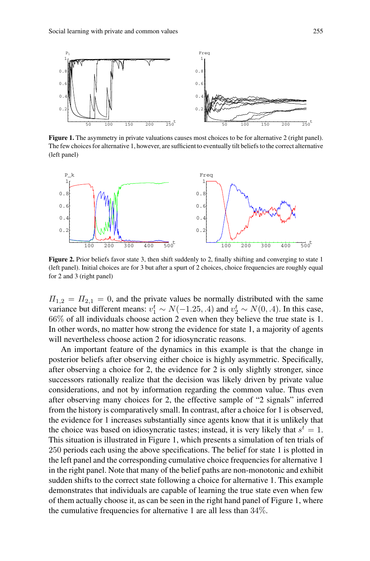

**Figure 1.** The asymmetry in private valuations causes most choices to be for alternative 2 (right panel). The few choices for alternative 1, however, are sufficient to eventually tilt beliefs to the correct alternative (left panel)



**Figure 2.** Prior beliefs favor state 3, then shift suddenly to 2, finally shifting and converging to state 1 (left panel). Initial choices are for 3 but after a spurt of 2 choices, choice frequencies are roughly equal for 2 and 3 (right panel)

 $\Pi_{1,2} = \Pi_{2,1} = 0$ , and the private values be normally distributed with the same variance but different means:  $v_1^t \sim N(-1.25, .4)$  and  $v_2^t \sim N(0, .4)$ . In this case, 66% of all individuals choose action 2 even when they believe the true state is 1. In other words, no matter how strong the evidence for state 1, a majority of agents will nevertheless choose action 2 for idiosyncratic reasons.

An important feature of the dynamics in this example is that the change in posterior beliefs after observing either choice is highly asymmetric. Specifically, after observing a choice for 2, the evidence for 2 is only slightly stronger, since successors rationally realize that the decision was likely driven by private value considerations, and not by information regarding the common value. Thus even after observing many choices for 2, the effective sample of "2 signals" inferred from the history is comparatively small. In contrast, after a choice for 1 is observed, the evidence for 1 increases substantially since agents know that it is unlikely that the choice was based on idiosyncratic tastes; instead, it is very likely that  $s<sup>t</sup> = 1$ . This situation is illustrated in Figure 1, which presents a simulation of ten trials of 250 periods each using the above specifications. The belief for state 1 is plotted in the left panel and the corresponding cumulative choice frequencies for alternative 1 in the right panel. Note that many of the belief paths are non-monotonic and exhibit sudden shifts to the correct state following a choice for alternative 1. This example demonstrates that individuals are capable of learning the true state even when few of them actually choose it, as can be seen in the right hand panel of Figure 1, where the cumulative frequencies for alternative 1 are all less than 34%.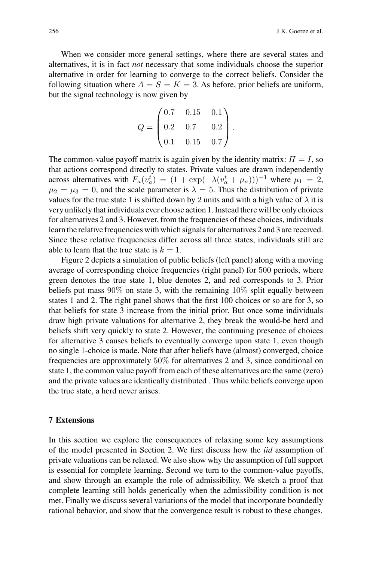When we consider more general settings, where there are several states and alternatives, it is in fact *not* necessary that some individuals choose the superior alternative in order for learning to converge to the correct beliefs. Consider the following situation where  $A = S = K = 3$ . As before, prior beliefs are uniform, but the signal technology is now given by

$$
Q = \begin{pmatrix} 0.7 & 0.15 & 0.1 \\ 0.2 & 0.7 & 0.2 \\ 0.1 & 0.15 & 0.7 \end{pmatrix}.
$$

The common-value payoff matrix is again given by the identity matrix:  $\Pi = I$ , so that actions correspond directly to states. Private values are drawn independently across alternatives with  $F_a(v_a^t) = (1 + \exp(-\lambda(v_a^t + \mu_a)))^{-1}$  where  $\mu_1 = 2$ ,  $\mu_2 = \mu_3 = 0$ , and the scale parameter is  $\lambda = 5$ . Thus the distribution of private values for the true state 1 is shifted down by 2 units and with a high value of  $\lambda$  it is very unlikely that individuals ever choose action 1. Instead there will be only choices for alternatives 2 and 3. However, from the frequencies of these choices, individuals learn the relative frequencies with which signals for alternatives 2 and 3 are received. Since these relative frequencies differ across all three states, individuals still are able to learn that the true state is  $k = 1$ .

Figure 2 depicts a simulation of public beliefs (left panel) along with a moving average of corresponding choice frequencies (right panel) for 500 periods, where green denotes the true state 1, blue denotes 2, and red corresponds to 3. Prior beliefs put mass 90% on state 3, with the remaining 10% split equally between states 1 and 2. The right panel shows that the first 100 choices or so are for 3, so that beliefs for state 3 increase from the initial prior. But once some individuals draw high private valuations for alternative 2, they break the would-be herd and beliefs shift very quickly to state 2. However, the continuing presence of choices for alternative 3 causes beliefs to eventually converge upon state 1, even though no single 1-choice is made. Note that after beliefs have (almost) converged, choice frequencies are approximately 50% for alternatives 2 and 3, since conditional on state 1, the common value payoff from each of these alternatives are the same (zero) and the private values are identically distributed . Thus while beliefs converge upon the true state, a herd never arises.

# **7 Extensions**

In this section we explore the consequences of relaxing some key assumptions of the model presented in Section 2. We first discuss how the *iid* assumption of private valuations can be relaxed. We also show why the assumption of full support is essential for complete learning. Second we turn to the common-value payoffs, and show through an example the role of admissibility. We sketch a proof that complete learning still holds generically when the admissibility condition is not met. Finally we discuss several variations of the model that incorporate boundedly rational behavior, and show that the convergence result is robust to these changes.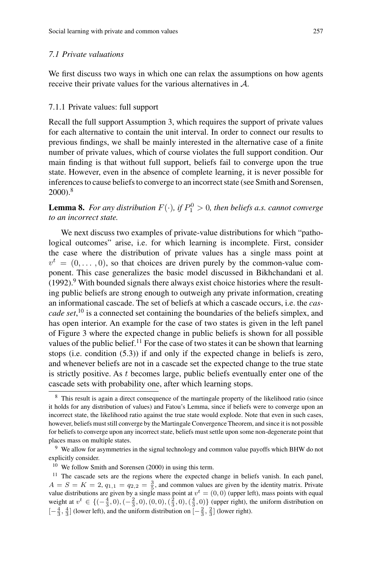We first discuss two ways in which one can relax the assumptions on how agents receive their private values for the various alternatives in A.

### 7.1.1 Private values: full support

Recall the full support Assumption 3, which requires the support of private values for each alternative to contain the unit interval. In order to connect our results to previous findings, we shall be mainly interested in the alternative case of a finite number of private values, which of course violates the full support condition. Our main finding is that without full support, beliefs fail to converge upon the true state. However, even in the absence of complete learning, it is never possible for inferences to cause beliefs to converge to an incorrect state (see Smith and Sorensen, 2000).<sup>8</sup>

# **Lemma 8.** For any distribution  $F(\cdot)$ , if  $P_1^0 > 0$ , then beliefs a.s. cannot converge *to an incorrect state.*

We next discuss two examples of private-value distributions for which "pathological outcomes" arise, i.e. for which learning is incomplete. First, consider the case where the distribution of private values has a single mass point at  $v<sup>t</sup> = (0, \ldots, 0)$ , so that choices are driven purely by the common-value component. This case generalizes the basic model discussed in Bikhchandani et al.  $(1992)$ .<sup>9</sup> With bounded signals there always exist choice histories where the resulting public beliefs are strong enough to outweigh any private information, creating an informational cascade. The set of beliefs at which a cascade occurs, i.e. the *cascade set*, <sup>10</sup> is a connected set containing the boundaries of the beliefs simplex, and has open interior. An example for the case of two states is given in the left panel of Figure 3 where the expected change in public beliefs is shown for all possible values of the public belief.<sup>11</sup> For the case of two states it can be shown that learning stops (i.e. condition (5.3)) if and only if the expected change in beliefs is zero, and whenever beliefs are not in a cascade set the expected change to the true state is strictly positive. As  $t$  becomes large, public beliefs eventually enter one of the cascade sets with probability one, after which learning stops.

<sup>10</sup> We follow Smith and Sorensen (2000) in using this term.

<sup>11</sup> The cascade sets are the regions where the expected change in beliefs vanish. In each panel,  $A = S = K = 2, q_{1,1} = q_{2,2} = \frac{3}{5}$ , and common values are given by the identity matrix. Private value distributions are given by a single mass point at  $v^t = (0, 0)$  (upper left), mass points with equal weight at  $v^t \in \{(-\frac{4}{3}, 0), (-\frac{2}{3}, 0), (0, 0), (\frac{2}{3}, 0), (\frac{4}{3}, 0)\}$  (upper right), the uniform distribution on  $[-\frac{4}{3}, \frac{4}{3}]$  (lower left), and the uniform distribution on  $[-\frac{2}{3}, \frac{2}{3}]$  (lower right).

<sup>&</sup>lt;sup>8</sup> This result is again a direct consequence of the martingale property of the likelihood ratio (since it holds for any distribution of values) and Fatou's Lemma, since if beliefs were to converge upon an incorrect state, the likelihood ratio against the true state would explode. Note that even in such cases, however, beliefs must still converge by the Martingale Convergence Theorem, and since it is not possible for beliefs to converge upon any incorrect state, beliefs must settle upon some non-degenerate point that places mass on multiple states.

<sup>&</sup>lt;sup>9</sup> We allow for asymmetries in the signal technology and common value payoffs which BHW do not explicitly consider.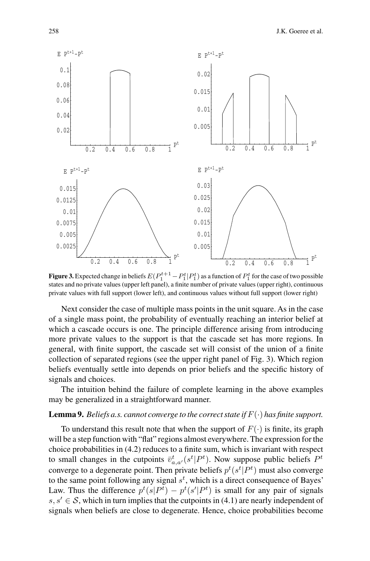

**Figure 3.** Expected change in beliefs  $E(P_1^{t+1} - P_1^t | P_1^t)$  as a function of  $P_1^t$  for the case of two possible states and no private values (upper left panel), a finite number of private values (upper right), continuous private values with full support (lower left), and continuous values without full support (lower right)

Next consider the case of multiple mass points in the unit square. As in the case of a single mass point, the probability of eventually reaching an interior belief at which a cascade occurs is one. The principle difference arising from introducing more private values to the support is that the cascade set has more regions. In general, with finite support, the cascade set will consist of the union of a finite collection of separated regions (see the upper right panel of Fig. 3). Which region beliefs eventually settle into depends on prior beliefs and the specific history of signals and choices.

The intuition behind the failure of complete learning in the above examples may be generalized in a straightforward manner.

#### **Lemma 9.** Beliefs a.s. cannot converge to the correct state if  $F(\cdot)$  has finite support.

To understand this result note that when the support of  $F(\cdot)$  is finite, its graph will be a step function with "flat" regions almost everywhere. The expression for the choice probabilities in (4.2) reduces to a finite sum, which is invariant with respect to small changes in the cutpoints  $\bar{v}^t_{a,a'}(s^t|P^t)$ . Now suppose public beliefs  $P^t$ converge to a degenerate point. Then private beliefs  $p^t(s^t|P^t)$  must also converge to the same point following any signal  $s<sup>t</sup>$ , which is a direct consequence of Bayes' Law. Thus the difference  $p^t(s|P^t) - p^t(s'|P^t)$  is small for any pair of signals  $s, s' \in S$ , which in turn implies that the cutpoints in (4.1) are nearly independent of signals when beliefs are close to degenerate. Hence, choice probabilities become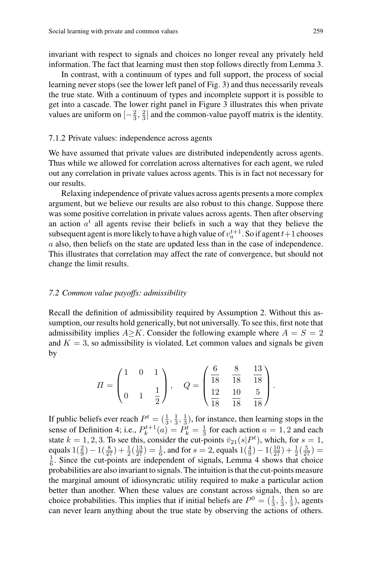invariant with respect to signals and choices no longer reveal any privately held information. The fact that learning must then stop follows directly from Lemma 3.

In contrast, with a continuum of types and full support, the process of social learning never stops (see the lower left panel of Fig. 3) and thus necessarily reveals the true state. With a continuum of types and incomplete support it is possible to get into a cascade. The lower right panel in Figure 3 illustrates this when private values are uniform on  $\left[-\frac{2}{3}, \frac{2}{3}\right]$  and the common-value payoff matrix is the identity.

#### 7.1.2 Private values: independence across agents

We have assumed that private values are distributed independently across agents. Thus while we allowed for correlation across alternatives for each agent, we ruled out any correlation in private values across agents. This is in fact not necessary for our results.

Relaxing independence of private values across agents presents a more complex argument, but we believe our results are also robust to this change. Suppose there was some positive correlation in private values across agents. Then after observing an action  $a<sup>t</sup>$  all agents revise their beliefs in such a way that they believe the subsequent agent is more likely to have a high value of  $v_a^{t+1}$ . So if agent  $t+1$  chooses a also, then beliefs on the state are updated less than in the case of independence. This illustrates that correlation may affect the rate of convergence, but should not change the limit results.

#### *7.2 Common value payoffs: admissibility*

Recall the definition of admissibility required by Assumption 2. Without this assumption, our results hold generically, but not universally. To see this, first note that admissibility implies  $A \ge K$ . Consider the following example where  $A = S = 2$ and  $K = 3$ , so admissibility is violated. Let common values and signals be given by

$$
II = \begin{pmatrix} 1 & 0 & 1 \\ & & & \\ 0 & 1 & \frac{1}{2} \end{pmatrix}, \quad Q = \begin{pmatrix} \frac{6}{18} & \frac{8}{18} & \frac{13}{18} \\ & & \\ \frac{12}{18} & \frac{10}{18} & \frac{5}{18} \end{pmatrix}.
$$

If public beliefs ever reach  $P^t = (\frac{1}{3}, \frac{1}{3}, \frac{1}{3})$ , for instance, then learning stops in the sense of Definition 4; i.e.,  $P_k^{t+1}(a) = P_k^t = \frac{1}{3}$  for each action  $a = 1, 2$  and each state  $k = 1, 2, 3$ . To see this, consider the cut-points  $\bar{v}_{21}(s|P^t)$ , which, for  $s = 1$ , equals  $1(\frac{2}{9}) - 1(\frac{8}{27}) + \frac{1}{2}(\frac{13}{27}) = \frac{1}{6}$ , and for  $s = 2$ , equals  $1(\frac{4}{9}) - 1(\frac{10}{27}) + \frac{1}{2}(\frac{5}{27}) =$  $\frac{1}{6}$ . Since the cut-points are independent of signals, Lemma 4 shows that choice probabilities are also invariant to signals. The intuition is that the cut-points measure the marginal amount of idiosyncratic utility required to make a particular action better than another. When these values are constant across signals, then so are choice probabilities. This implies that if initial beliefs are  $P^0 = (\frac{1}{3}, \frac{1}{3}, \frac{1}{3})$ , agents can never learn anything about the true state by observing the actions of others.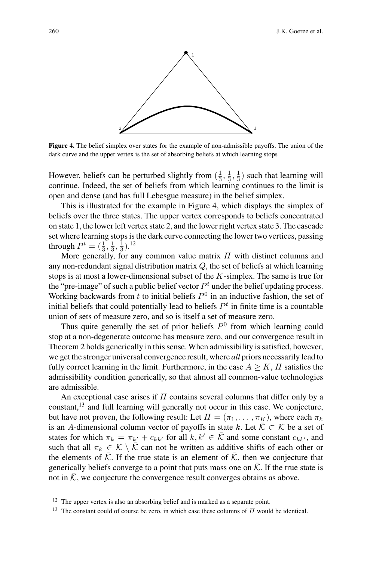

**Figure 4.** The belief simplex over states for the example of non-admissible payoffs. The union of the dark curve and the upper vertex is the set of absorbing beliefs at which learning stops

However, beliefs can be perturbed slightly from  $(\frac{1}{3}, \frac{1}{3}, \frac{1}{3})$  such that learning will continue. Indeed, the set of beliefs from which learning continues to the limit is open and dense (and has full Lebesgue measure) in the belief simplex.

This is illustrated for the example in Figure 4, which displays the simplex of beliefs over the three states. The upper vertex corresponds to beliefs concentrated on state 1, the lower left vertex state 2, and the lower right vertex state 3. The cascade set where learning stops is the dark curve connecting the lower two vertices, passing through  $P^t = (\frac{1}{3}, \frac{1}{3}, \frac{1}{3})$ .<sup>12</sup>

More generally, for any common value matrix  $\Pi$  with distinct columns and any non-redundant signal distribution matrix  $Q$ , the set of beliefs at which learning stops is at most a lower-dimensional subset of the K-simplex. The same is true for the "pre-image" of such a public belief vector  $P<sup>t</sup>$  under the belief updating process. Working backwards from t to initial beliefs  $P^0$  in an inductive fashion, the set of initial beliefs that could potentially lead to beliefs  $P<sup>t</sup>$  in finite time is a countable union of sets of measure zero, and so is itself a set of measure zero.

Thus quite generally the set of prior beliefs  $P^0$  from which learning could stop at a non-degenerate outcome has measure zero, and our convergence result in Theorem 2 holds generically in this sense.When admissibility is satisfied, however, we get the stronger universal convergence result, where *all* priors necessarily lead to fully correct learning in the limit. Furthermore, in the case  $A \geq K$ ,  $\Pi$  satisfies the admissibility condition generically, so that almost all common-value technologies are admissible.

An exceptional case arises if  $\Pi$  contains several columns that differ only by a constant,<sup>13</sup> and full learning will generally not occur in this case. We conjecture, but have not proven, the following result: Let  $\Pi = (\pi_1, \dots, \pi_K)$ , where each  $\pi_k$ is an A-dimensional column vector of payoffs in state k. Let  $\overline{K} \subset \mathcal{K}$  be a set of states for which  $\pi_k = \pi_{k'} + c_{kk'}$  for all  $k, k' \in \overline{K}$  and some constant  $c_{kk'}$ , and such that all  $\pi_k \in \mathcal{K} \setminus \mathcal{K}$  can not be written as additive shifts of each other or the elements of  $\overline{K}$ . If the true state is an element of  $\overline{K}$ , then we conjecture that generically beliefs converge to a point that puts mass one on  $\overline{K}$ . If the true state is not in  $K$ , we conjecture the convergence result converges obtains as above.

<sup>&</sup>lt;sup>12</sup> The upper vertex is also an absorbing belief and is marked as a separate point.

<sup>&</sup>lt;sup>13</sup> The constant could of course be zero, in which case these columns of  $\Pi$  would be identical.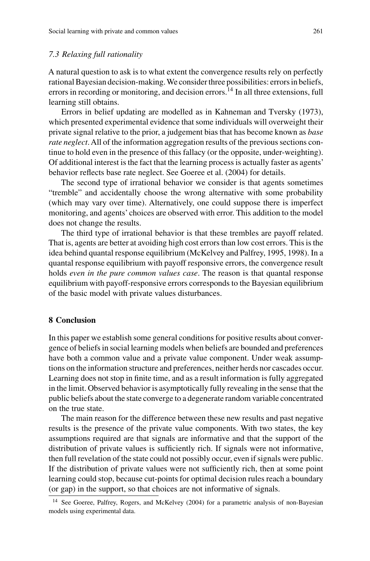#### *7.3 Relaxing full rationality*

A natural question to ask is to what extent the convergence results rely on perfectly rational Bayesian decision-making.We consider three possibilities: errors in beliefs, errors in recording or monitoring, and decision errors.<sup>14</sup> In all three extensions, full learning still obtains.

Errors in belief updating are modelled as in Kahneman and Tversky (1973), which presented experimental evidence that some individuals will overweight their private signal relative to the prior, a judgement bias that has become known as *base rate neglect*. All of the information aggregation results of the previous sections continue to hold even in the presence of this fallacy (or the opposite, under-weighting). Of additional interest is the fact that the learning process is actually faster as agents' behavior reflects base rate neglect. See Goeree et al. (2004) for details.

The second type of irrational behavior we consider is that agents sometimes "tremble" and accidentally choose the wrong alternative with some probability (which may vary over time). Alternatively, one could suppose there is imperfect monitoring, and agents' choices are observed with error. This addition to the model does not change the results.

The third type of irrational behavior is that these trembles are payoff related. That is, agents are better at avoiding high cost errors than low cost errors. This is the idea behind quantal response equilibrium (McKelvey and Palfrey, 1995, 1998). In a quantal response equilibrium with payoff responsive errors, the convergence result holds *even in the pure common values case*. The reason is that quantal response equilibrium with payoff-responsive errors corresponds to the Bayesian equilibrium of the basic model with private values disturbances.

# **8 Conclusion**

In this paper we establish some general conditions for positive results about convergence of beliefs in social learning models when beliefs are bounded and preferences have both a common value and a private value component. Under weak assumptions on the information structure and preferences, neither herds nor cascades occur. Learning does not stop in finite time, and as a result information is fully aggregated in the limit. Observed behavior is asymptotically fully revealing in the sense that the public beliefs about the state converge to a degenerate random variable concentrated on the true state.

The main reason for the difference between these new results and past negative results is the presence of the private value components. With two states, the key assumptions required are that signals are informative and that the support of the distribution of private values is sufficiently rich. If signals were not informative, then full revelation of the state could not possibly occur, even if signals were public. If the distribution of private values were not sufficiently rich, then at some point learning could stop, because cut-points for optimal decision rules reach a boundary (or gap) in the support, so that choices are not informative of signals.

<sup>&</sup>lt;sup>14</sup> See Goeree, Palfrey, Rogers, and McKelvey (2004) for a parametric analysis of non-Bayesian models using experimental data.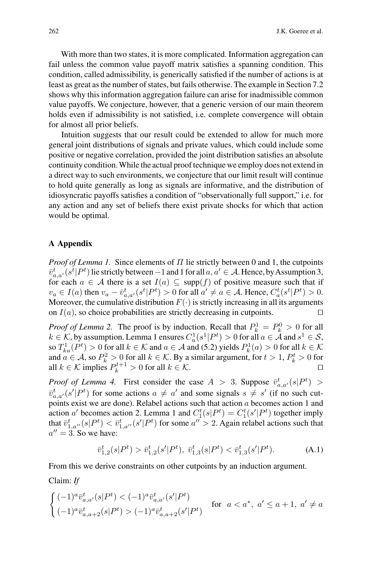With more than two states, it is more complicated. Information aggregation can fail unless the common value payoff matrix satisfies a spanning condition. This condition, called admissibility, is generically satisfied if the number of actions is at least as great as the number of states, but fails otherwise. The example in Section 7.2 shows why this information aggregation failure can arise for inadmissible common value payoffs. We conjecture, however, that a generic version of our main theorem holds even if admissibility is not satisfied, i.e. complete convergence will obtain for almost all prior beliefs.

Intuition suggests that our result could be extended to allow for much more general joint distributions of signals and private values, which could include some positive or negative correlation, provided the joint distribution satisfies an absolute continuity condition.While the actual proof technique we employ does not extend in a direct way to such environments, we conjecture that our limit result will continue to hold quite generally as long as signals are informative, and the distribution of idiosyncratic payoffs satisfies a condition of "observationally full support," i.e. for any action and any set of beliefs there exist private shocks for which that action would be optimal.

### **A Appendix**

*Proof of Lemma 1.* Since elements of Π lie strictly between 0 and 1, the cutpoints  $\bar{v}^t_{a,a'}(s^t|P^t)$  lie strictly between  $-1$  and 1 for all  $a,a' \in A$ . Hence, by Assumption 3, for each  $a \in A$  there is a set  $I(a) \subseteq \text{supp}(f)$  of positive measure such that if  $v_a \in I(a)$  then  $v_a - \bar{v}_{a,a'}^t(s^t|P^t) > 0$  for all  $a' \neq a \in A$ . Hence,  $C_a^t(s^t|P^t) > 0$ . Moreover, the cumulative distribution  $F(\cdot)$  is strictly increasing in all its arguments on  $I(a)$ , so choice probabilities are strictly decreasing in cutpoints.

*Proof of Lemma 2.* The proof is by induction. Recall that  $P_k^1 = P_k^0 > 0$  for all  $k \in \mathcal{K}$ , by assumption. Lemma 1 ensures  $C_a^1(s^1|P^t) > 0$  for all  $a \in \mathcal{A}$  and  $s^1 \in \mathcal{S}$ , so  $T_{ka}^1(P^t) > 0$  for all  $k \in \mathcal{K}$  and  $a \in \mathcal{A}$  and (5.2) yields  $P_k^1(a) > 0$  for all  $k \in \mathcal{K}$ and  $a \in A$ , so  $P_k^2 > 0$  for all  $k \in \mathcal{K}$ . By a similar argument, for  $t > 1$ ,  $P_k^t > 0$  for all  $k \in \mathcal{K}$  implies  $P_k^{t+1} > 0$  for all  $k \in \mathcal{K}$ .  $\Box$ 

*Proof of Lemma 4.* First consider the case  $A > 3$ . Suppose  $\bar{v}_{a,a'}^t(s|P^t)$  $\bar{v}_{a,a'}^t(s'|P^t)$  for some actions  $a \neq a'$  and some signals  $s \neq s'$  (if no such cutpoints exist we are done). Relabel actions such that action a becomes action 1 and action a' becomes action 2. Lemma 1 and  $C_1^t(s|P^t) = C_1^t(s'|P^t)$  together imply that  $\bar{v}_{1,a''}^t(s|P^t) < \bar{v}_{1,a''}^t(s'|P^t)$  for some  $a'' > 2$ . Again relabel actions such that  $a'' = 3$ . So we have:

$$
\bar{v}_{1,2}^t(s|P^t) > \bar{v}_{1,2}^t(s'|P^t), \ \bar{v}_{1,3}^t(s|P^t) < \bar{v}_{1,3}^t(s'|P^t). \tag{A.1}
$$

From this we derive constraints on other cutpoints by an induction argument.

Claim: *If*

$$
\begin{cases} (-1)^{a} \bar{v}_{a,a'}^{t}(s|P^{t}) < (-1)^{a} \bar{v}_{a,a'}^{t}(s'|P^{t}) \\ (-1)^{a} \bar{v}_{a,a+2}^{t}(s|P^{t}) > (-1)^{a} \bar{v}_{a,a+2}^{t}(s'|P^{t}) \end{cases} \text{ for } a < a^{*}, a' \le a+1, a' \ne a
$$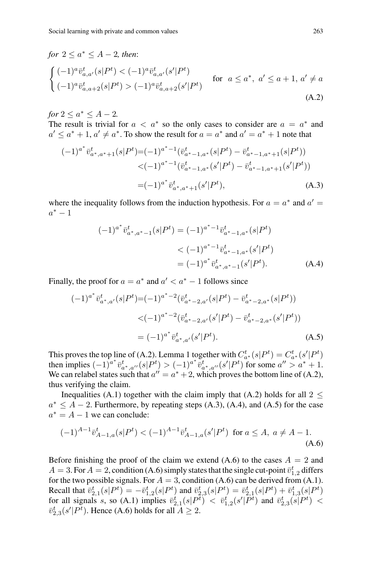# *for*  $2 \le a^* \le A - 2$ *, then:*  $\int (-1)^{a} \bar{v}_{a,a'}^{t}(s|P^{t}) < (-1)^{a} \bar{v}_{a,a'}^{t}(s'|P^{t})$  $(-1)^{a} \bar{v}_{a,a+2}^{t}(s|P^t) > (-1)^{a} \bar{v}_{a,a+2}^{t}(s'|P^t)$ for  $a \leq a^*$ ,  $a' \leq a+1$ ,  $a' \neq a$ (A.2)

*for*  $2 \le a^* \le A - 2$ *.* The result is trivial for  $a < a^*$  so the only cases to consider are  $a = a^*$  and  $a' \le a^* + 1$ ,  $a' \ne a^*$ . To show the result for  $a = a^*$  and  $a' = a^* + 1$  note that

$$
(-1)^{a^*} \bar{v}_{a^*,a^*+1}^{t}(s|P^t) = (-1)^{a^*-1} (\bar{v}_{a^*-1,a^*}^{t}(s|P^t) - \bar{v}_{a^*-1,a^*+1}^{t}(s|P^t))
$$
  

$$
< (-1)^{a^*-1} (\bar{v}_{a^*-1,a^*}^{t}(s'|P^t) - \bar{v}_{a^*-1,a^*+1}^{t}(s'|P^t))
$$
  

$$
= (-1)^{a^*} \bar{v}_{a^*,a^*+1}^{t}(s'|P^t),
$$
 (A.3)

where the inequality follows from the induction hypothesis. For  $a = a^*$  and  $a' = a$  $a^* - 1$ 

$$
(-1)^{a^*} \bar{v}_{a^*,a^*-1}^t(s|P^t) = (-1)^{a^*-1} \bar{v}_{a^*-1,a^*}^t(s|P^t)
$$
  

$$
< (-1)^{a^*-1} \bar{v}_{a^*-1,a^*}^t(s'|P^t)
$$
  

$$
= (-1)^{a^*} \bar{v}_{a^*,a^*-1}^t(s'|P^t).
$$
 (A.4)

Finally, the proof for  $a = a^*$  and  $a' < a^* - 1$  follows since

$$
(-1)^{a^*} \bar{v}_{a^*,a'}^t(s|P^t) = (-1)^{a^*-2} (\bar{v}_{a^*-2,a'}^t(s|P^t) - \bar{v}_{a^*-2,a^*}^t(s|P^t))
$$
  

$$
< (-1)^{a^*-2} (\bar{v}_{a^*-2,a'}^t(s'|P^t) - \bar{v}_{a^*-2,a^*}^t(s'|P^t))
$$
  

$$
= (-1)^{a^*} \bar{v}_{a^*,a'}^t(s'|P^t).
$$
 (A.5)

This proves the top line of (A.2). Lemma 1 together with  $C_{a^*}^t(s|P^t) = C_{a^*}^t(s'|P^t)$ then implies  $(-1)^{a^*} \bar{v}^t_{a^*,a''}(s|P^t) > (-1)^{a^*} \bar{v}^t_{a^*,a''}(s'|P^t)$  for some  $a'' > a^* + 1$ . We can relabel states such that  $a'' = a^* + 2$ , which proves the bottom line of (A.2), thus verifying the claim.

Inequalities (A.1) together with the claim imply that (A.2) holds for all  $2 \le$  $a^* \leq A - 2$ . Furthermore, by repeating steps (A.3), (A.4), and (A.5) for the case  $a^* = A - 1$  we can conclude:

$$
(-1)^{A-1}\bar{v}_{A-1,a}^t(s|P^t) < (-1)^{A-1}\bar{v}_{A-1,a}^t(s'|P^t) \text{ for } a \le A, \ a \ne A-1.
$$
\n(A.6)

Before finishing the proof of the claim we extend  $(A.6)$  to the cases  $A = 2$  and  $A = 3$ . For  $A = 2$ , condition (A.6) simply states that the single cut-point  $\bar{v}_{1,2}^t$  differs for the two possible signals. For  $A = 3$ , condition (A.6) can be derived from (A.1). Recall that  $\overline{v}_{2,1}^t(s|P^t) = -\overline{v}_{1,2}^t(s|P^t)$  and  $\overline{v}_{2,3}^t(s|P^t) = \overline{v}_{2,1}^t(s|P^t) + \overline{v}_{1,3}^t(s|P^t)$ for all signals s, so (A.1) implies  $\overline{v}_{2,1}^t(s|P^{\overline{t}}) < \overline{v}_{1,2}^t(s'|P^{\overline{t}})$  and  $\overline{v}_{2,3}^t(s|P^{\overline{t}})$  <  $\overline{v}_{2,3}^t(s'|P^t)$ . Hence (A.6) holds for all  $A \geq 2$ .